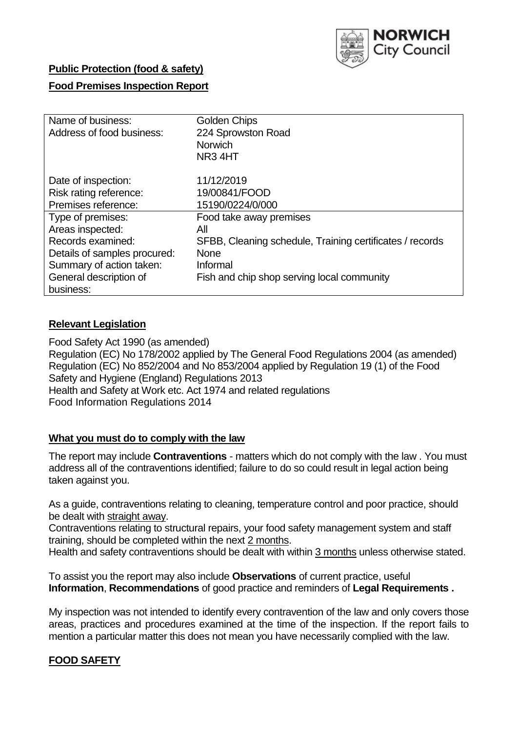

# **Public Protection (food & safety)**

# **Food Premises Inspection Report**

| Name of business:            | Golden Chips                                             |
|------------------------------|----------------------------------------------------------|
| Address of food business:    | 224 Sprowston Road                                       |
|                              | <b>Norwich</b>                                           |
|                              | NR <sub>3</sub> 4HT                                      |
| Date of inspection:          | 11/12/2019                                               |
| Risk rating reference:       | 19/00841/FOOD                                            |
| Premises reference:          | 15190/0224/0/000                                         |
| Type of premises:            | Food take away premises                                  |
| Areas inspected:             | All                                                      |
| Records examined:            | SFBB, Cleaning schedule, Training certificates / records |
| Details of samples procured: | <b>None</b>                                              |
| Summary of action taken:     | Informal                                                 |
| General description of       | Fish and chip shop serving local community               |
| business:                    |                                                          |

# **Relevant Legislation**

Food Safety Act 1990 (as amended) Regulation (EC) No 178/2002 applied by The General Food Regulations 2004 (as amended) Regulation (EC) No 852/2004 and No 853/2004 applied by Regulation 19 (1) of the Food Safety and Hygiene (England) Regulations 2013 Health and Safety at Work etc. Act 1974 and related regulations Food Information Regulations 2014

## **What you must do to comply with the law**

The report may include **Contraventions** - matters which do not comply with the law . You must address all of the contraventions identified; failure to do so could result in legal action being taken against you.

As a guide, contraventions relating to cleaning, temperature control and poor practice, should be dealt with straight away.

Contraventions relating to structural repairs, your food safety management system and staff training, should be completed within the next 2 months.

Health and safety contraventions should be dealt with within 3 months unless otherwise stated.

To assist you the report may also include **Observations** of current practice, useful **Information**, **Recommendations** of good practice and reminders of **Legal Requirements .**

My inspection was not intended to identify every contravention of the law and only covers those areas, practices and procedures examined at the time of the inspection. If the report fails to mention a particular matter this does not mean you have necessarily complied with the law.

# **FOOD SAFETY**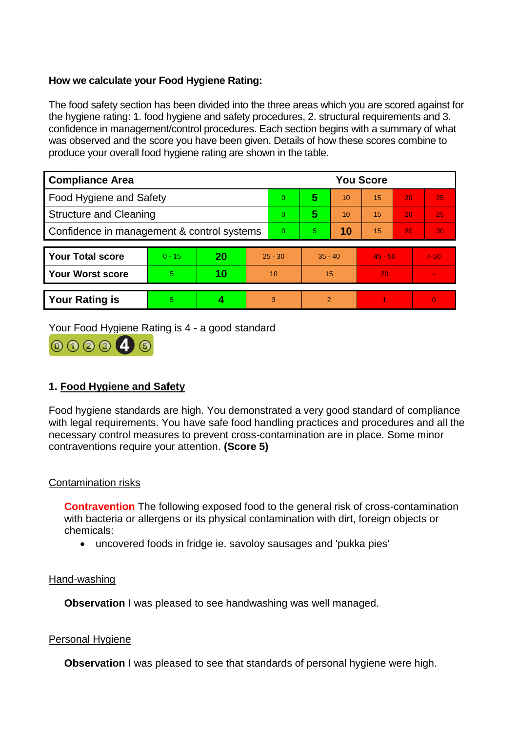# **How we calculate your Food Hygiene Rating:**

The food safety section has been divided into the three areas which you are scored against for the hygiene rating: 1. food hygiene and safety procedures, 2. structural requirements and 3. confidence in management/control procedures. Each section begins with a summary of what was observed and the score you have been given. Details of how these scores combine to produce your overall food hygiene rating are shown in the table.

| <b>Compliance Area</b>                     |          |    |                | <b>You Score</b> |                |    |           |    |          |  |  |
|--------------------------------------------|----------|----|----------------|------------------|----------------|----|-----------|----|----------|--|--|
| Food Hygiene and Safety                    |          |    |                | $\overline{0}$   | 5              | 10 | 15        | 20 | 25       |  |  |
| <b>Structure and Cleaning</b>              |          |    |                | $\overline{0}$   | 5              | 10 | 15        | 20 | 25       |  |  |
| Confidence in management & control systems |          |    | $\overline{0}$ | 10<br>5.         |                | 15 | 20        | 30 |          |  |  |
|                                            |          |    |                |                  |                |    |           |    |          |  |  |
| <b>Your Total score</b>                    | $0 - 15$ | 20 |                | $25 - 30$        | $35 - 40$      |    | $45 - 50$ |    | > 50     |  |  |
| <b>Your Worst score</b>                    | 5        | 10 |                | 10               | 15             |    | 20        |    | $\sim$   |  |  |
|                                            |          |    |                |                  |                |    |           |    |          |  |  |
| <b>Your Rating is</b>                      | 5        |    | 3              |                  | $\overline{2}$ |    |           |    | $\Omega$ |  |  |

Your Food Hygiene Rating is 4 - a good standard



# **1. Food Hygiene and Safety**

Food hygiene standards are high. You demonstrated a very good standard of compliance with legal requirements. You have safe food handling practices and procedures and all the necessary control measures to prevent cross-contamination are in place. Some minor contraventions require your attention. **(Score 5)**

## Contamination risks

**Contravention** The following exposed food to the general risk of cross-contamination with bacteria or allergens or its physical contamination with dirt, foreign objects or chemicals:

uncovered foods in fridge ie. savoloy sausages and 'pukka pies'

## Hand-washing

**Observation** I was pleased to see handwashing was well managed.

## **Personal Hygiene**

**Observation** I was pleased to see that standards of personal hygiene were high.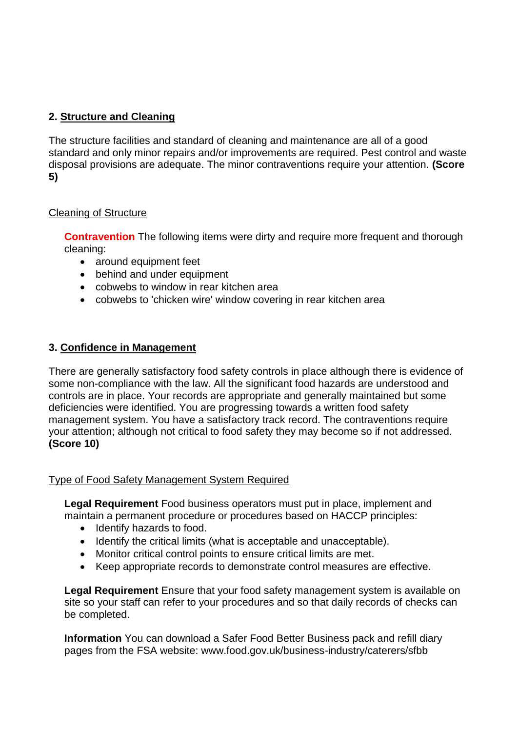# **2. Structure and Cleaning**

The structure facilities and standard of cleaning and maintenance are all of a good standard and only minor repairs and/or improvements are required. Pest control and waste disposal provisions are adequate. The minor contraventions require your attention. **(Score 5)**

# Cleaning of Structure

**Contravention** The following items were dirty and require more frequent and thorough cleaning:

- around equipment feet
- behind and under equipment
- cobwebs to window in rear kitchen area
- cobwebs to 'chicken wire' window covering in rear kitchen area

# **3. Confidence in Management**

There are generally satisfactory food safety controls in place although there is evidence of some non-compliance with the law. All the significant food hazards are understood and controls are in place. Your records are appropriate and generally maintained but some deficiencies were identified. You are progressing towards a written food safety management system. You have a satisfactory track record. The contraventions require your attention; although not critical to food safety they may become so if not addressed. **(Score 10)**

## Type of Food Safety Management System Required

**Legal Requirement** Food business operators must put in place, implement and maintain a permanent procedure or procedures based on HACCP principles:

- Identify hazards to food.
- Identify the critical limits (what is acceptable and unacceptable).
- Monitor critical control points to ensure critical limits are met.
- Keep appropriate records to demonstrate control measures are effective.

**Legal Requirement** Ensure that your food safety management system is available on site so your staff can refer to your procedures and so that daily records of checks can be completed.

**Information** You can download a Safer Food Better Business pack and refill diary pages from the FSA website: www.food.gov.uk/business-industry/caterers/sfbb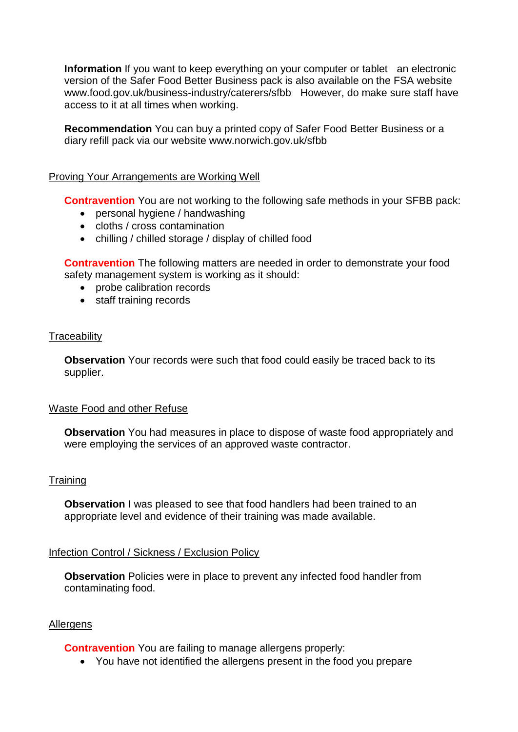**Information** If you want to keep everything on your computer or tablet an electronic version of the Safer Food Better Business pack is also available on the FSA website www.food.gov.uk/business-industry/caterers/sfbb However, do make sure staff have access to it at all times when working.

**Recommendation** You can buy a printed copy of Safer Food Better Business or a diary refill pack via our website www.norwich.gov.uk/sfbb

#### Proving Your Arrangements are Working Well

**Contravention** You are not working to the following safe methods in your SFBB pack:

- personal hygiene / handwashing
- cloths / cross contamination
- chilling / chilled storage / display of chilled food

**Contravention** The following matters are needed in order to demonstrate your food safety management system is working as it should:

- probe calibration records
- staff training records

#### **Traceability**

**Observation** Your records were such that food could easily be traced back to its supplier.

#### Waste Food and other Refuse

**Observation** You had measures in place to dispose of waste food appropriately and were employing the services of an approved waste contractor.

## **Training**

**Observation** I was pleased to see that food handlers had been trained to an appropriate level and evidence of their training was made available.

## Infection Control / Sickness / Exclusion Policy

**Observation** Policies were in place to prevent any infected food handler from contaminating food.

## **Allergens**

**Contravention** You are failing to manage allergens properly:

You have not identified the allergens present in the food you prepare